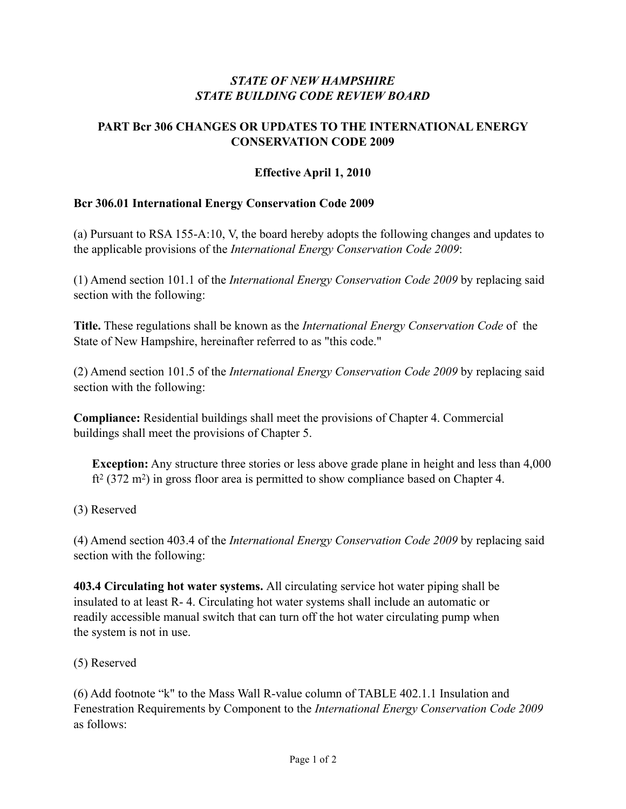# *STATE OF NEW HAMPSHIRE STATE BUILDING CODE REVIEW BOARD*

## **PART Bcr 306 CHANGES OR UPDATES TO THE INTERNATIONAL ENERGY CONSERVATION CODE 2009**

## **Effective April 1, 2010**

#### **Bcr 306.01 International Energy Conservation Code 2009**

(a) Pursuant to RSA 155-A:10, V, the board hereby adopts the following changes and updates to the applicable provisions of the *International Energy Conservation Code 2009*:

(1) Amend section 101.1 of the *International Energy Conservation Code 2009* by replacing said section with the following:

**Title.** These regulations shall be known as the *International Energy Conservation Code* of the State of New Hampshire, hereinafter referred to as "this code."

(2) Amend section 101.5 of the *International Energy Conservation Code 2009* by replacing said section with the following:

**Compliance:** Residential buildings shall meet the provisions of Chapter 4. Commercial buildings shall meet the provisions of Chapter 5.

**Exception:** Any structure three stories or less above grade plane in height and less than 4,000  $\text{ft}^2$  (372 m<sup>2</sup>) in gross floor area is permitted to show compliance based on Chapter 4.

#### (3) Reserved

(4) Amend section 403.4 of the *International Energy Conservation Code 2009* by replacing said section with the following:

**403.4 Circulating hot water systems.** All circulating service hot water piping shall be insulated to at least R- 4. Circulating hot water systems shall include an automatic or readily accessible manual switch that can turn off the hot water circulating pump when the system is not in use.

#### (5) Reserved

(6) Add footnote "k" to the Mass Wall R-value column of TABLE 402.1.1 Insulation and Fenestration Requirements by Component to the *International Energy Conservation Code 2009* as follows: